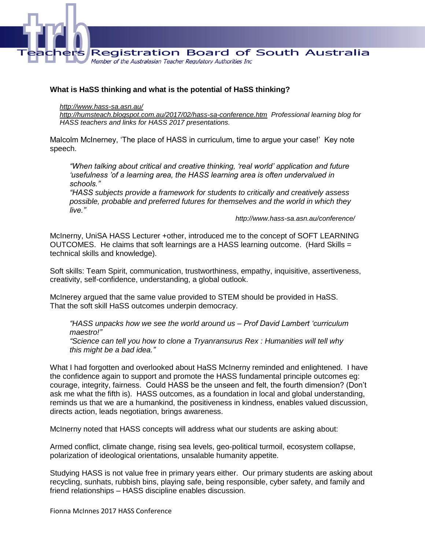

## **What is HaSS thinking and what is the potential of HaSS thinking?**

## *<http://www.hass-sa.asn.au/>*

*<http://humsteach.blogspot.com.au/2017/02/hass-sa-conference.htm>Professional learning blog for HASS teachers and links for HASS 2017 presentations.*

Malcolm McInerney, 'The place of HASS in curriculum, time to argue your case!' Key note speech.

*"When talking about critical and creative thinking, 'real world' application and future 'usefulness 'of a learning area, the HASS learning area is often undervalued in schools."*

*"HASS subjects provide a framework for students to critically and creatively assess possible, probable and preferred futures for themselves and the world in which they live."*

*http://www.hass-sa.asn.au/conference/*

McInerny, UniSA HASS Lecturer +other, introduced me to the concept of SOFT LEARNING OUTCOMES. He claims that soft learnings are a HASS learning outcome. (Hard Skills = technical skills and knowledge).

Soft skills: Team Spirit, communication, trustworthiness, empathy, inquisitive, assertiveness, creativity, self-confidence, understanding, a global outlook.

McInerey argued that the same value provided to STEM should be provided in HaSS. That the soft skill HaSS outcomes underpin democracy.

*"HASS unpacks how we see the world around us – Prof David Lambert 'curriculum maestro!"*

*"Science can tell you how to clone a Tryanransurus Rex : Humanities will tell why this might be a bad idea."*

What I had forgotten and overlooked about HaSS McInerny reminded and enlightened. I have the confidence again to support and promote the HASS fundamental principle outcomes eg: courage, integrity, fairness. Could HASS be the unseen and felt, the fourth dimension? (Don't ask me what the fifth is). HASS outcomes, as a foundation in local and global understanding, reminds us that we are a humankind, the positiveness in kindness, enables valued discussion, directs action, leads negotiation, brings awareness.

McInerny noted that HASS concepts will address what our students are asking about:

Armed conflict, climate change, rising sea levels, geo-political turmoil, ecosystem collapse, polarization of ideological orientations, unsalable humanity appetite.

Studying HASS is not value free in primary years either. Our primary students are asking about recycling, sunhats, rubbish bins, playing safe, being responsible, cyber safety, and family and friend relationships – HASS discipline enables discussion.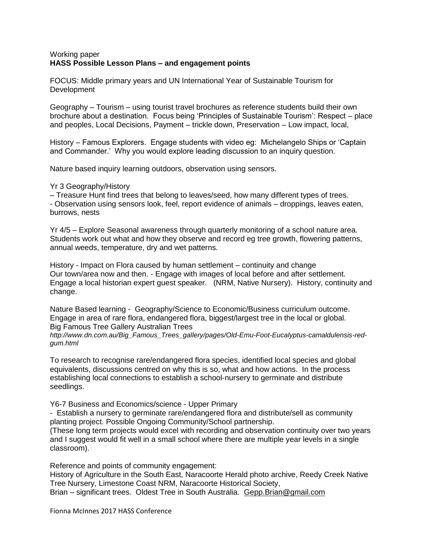## Working paper **HASS Possible Lesson Plans – and engagement points**

FOCUS: Middle primary years and UN International Year of Sustainable Tourism for **Development** 

Geography – Tourism – using tourist travel brochures as reference students build their own brochure about a destination. Focus being 'Principles of Sustainable Tourism': Respect – place and peoples, Local Decisions, Payment – trickle down, Preservation – Low impact, local,

History – Famous Explorers. Engage students with video eg: Michelangelo Ships or 'Captain and Commander.' Why you would explore leading discussion to an inquiry question.

Nature based inquiry learning outdoors, observation using sensors.

Yr 3 Geography/History

– Treasure Hunt find trees that belong to leaves/seed, how many different types of trees. - Observation using sensors look, feel, report evidence of animals – droppings, leaves eaten, burrows, nests

Yr 4/5 – Explore Seasonal awareness through quarterly monitoring of a school nature area. Students work out what and how they observe and record eg tree growth, flowering patterns, annual weeds, temperature, dry and wet patterns.

History - Impact on Flora caused by human settlement – continuity and change Our town/area now and then. - Engage with images of local before and after settlement. Engage a local historian expert guest speaker. (NRM, Native Nursery). History, continuity and change.

Nature Based learning - Geography/Science to Economic/Business curriculum outcome. Engage in area of rare flora, endangered flora, biggest/largest tree in the local or global. Big Famous Tree Gallery Australian Trees

*http://www.dn.com.au/Big\_Famous\_Trees\_gallery/pages/Old-Emu-Foot-Eucalyptus-camaldulensis-redgum.html*

To research to recognise rare/endangered flora species, identified local species and global equivalents, discussions centred on why this is so, what and how actions. In the process establishing local connections to establish a school-nursery to germinate and distribute seedlings.

Y6-7 Business and Economics/science - Upper Primary

- Establish a nursery to germinate rare/endangered flora and distribute/sell as community planting project. Possible Ongoing Community/School partnership.

(These long term projects would excel with recording and observation continuity over two years and I suggest would fit well in a small school where there are multiple year levels in a single classroom).

Reference and points of community engagement:

History of Agriculture in the South East, Naracoorte Herald photo archive, Reedy Creek Native Tree Nursery, Limestone Coast NRM, Naracoorte Historical Society,

Brian – significant trees. Oldest Tree in South Australia. [Gepp.Brian@gmail.com](mailto:Gepp.Brian@gmail.com)